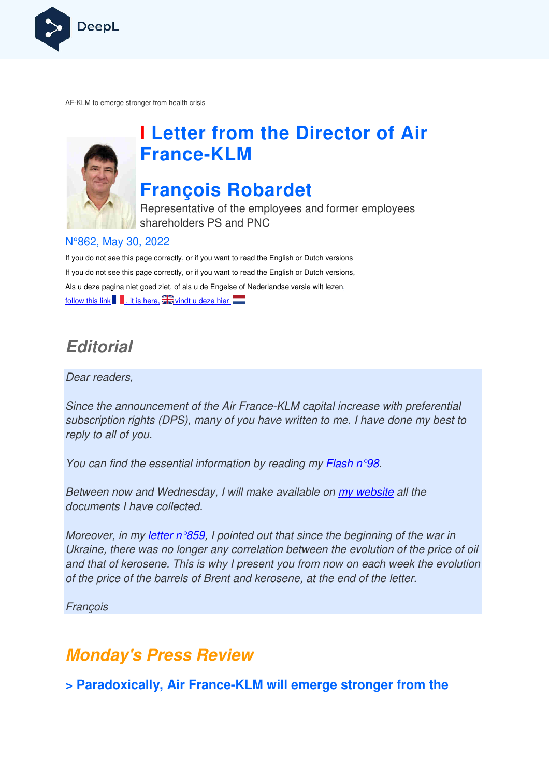

AF-KLM to emerge stronger from health crisis



# **I Letter from the Director of Air France France-KLM**

# **François Robardet**

Representative of the employees and former employees shareholders PS and PNC

### N°862, May 30, 2022

If you do not see this page correctly, or if you want to read the English or Dutch versions If you do not see this page correctly, or if you want to read the English or Dutch versions, Als u deze pagina niet goed ziet, of als u de Engelse of Nederlandse versie wilt lezen, follow this link  $\blacksquare$ , it is here,  $\mathbb{Z}$  vindt u deze hier

# **Editorial**

Dear readers,

Since the announcement of the Air France-KLM capital increase with preferential subscription rights (DPS), many of you have written to me. I have done my best to reply to all of you.

You can find the essential information by reading my **Flash n°98**.

Between now and Wednesday, I will make available on my website all the documents I have collected.

documents I have collected.<br>Moreover, in my <u>letter n°859</u>, I pointed out that since the beginning of the war in Ukraine, there was no longer any correlation between the evolution of the price of oil and that of kerosene. This is why I present you from now on each week the evolution of the price of the barrels of Brent and kerosene, at the end of the letter. f the Air France-KLM<br>nany of you have writ<br>nformation by reading<br>day, I will make availa<br>l.<br><u>9,</u> I pointed out that s<br>er any correlation bet<br>is why I present you fi

François

## **Monday's Press Review**

**> Paradoxically, Air France-KLM will emerge stronger from the**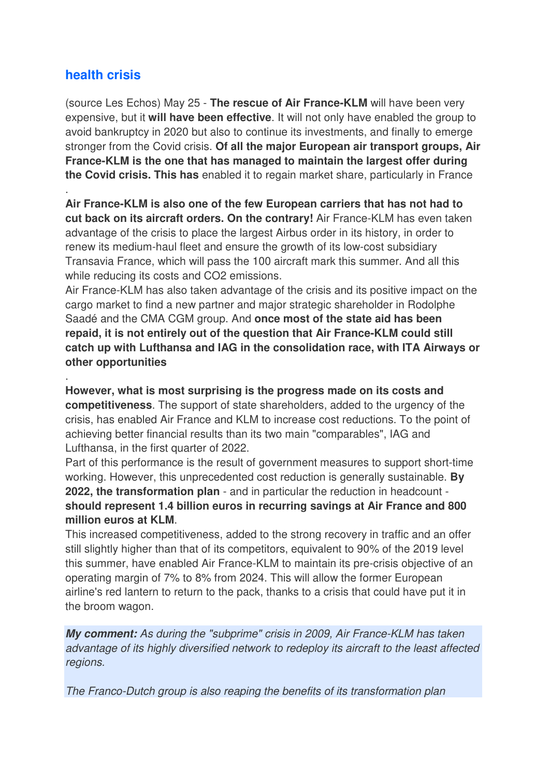### **health crisis**

.

.

(source Les Echos) May 25 - **The rescue of Air France-KLM** will have been very expensive, but it **will have been effective**. It will not only have enabled the group to avoid bankruptcy in 2020 but also to continue its investments, and finally to emerge stronger from the Covid crisis. **Of all the major European air transport groups, Air France-KLM is the one that has managed to maintain the largest offer during the Covid crisis. This has** enabled it to regain market share, particularly in France

**Air France-KLM is also one of the few European carriers that has not had to cut back on its aircraft orders. On the contrary!** Air France-KLM has even taken advantage of the crisis to place the largest Airbus order in its history, in order to renew its medium-haul fleet and ensure the growth of its low-cost subsidiary Transavia France, which will pass the 100 aircraft mark this summer. And all this while reducing its costs and CO2 emissions.

Air France-KLM has also taken advantage of the crisis and its positive impact on the cargo market to find a new partner and major strategic shareholder in Rodolphe Saadé and the CMA CGM group. And **once most of the state aid has been repaid, it is not entirely out of the question that Air France-KLM could still catch up with Lufthansa and IAG in the consolidation race, with ITA Airways or other opportunities**

**However, what is most surprising is the progress made on its costs and competitiveness**. The support of state shareholders, added to the urgency of the crisis, has enabled Air France and KLM to increase cost reductions. To the point of achieving better financial results than its two main "comparables", IAG and Lufthansa, in the first quarter of 2022.

Part of this performance is the result of government measures to support short-time working. However, this unprecedented cost reduction is generally sustainable. **By 2022, the transformation plan** - and in particular the reduction in headcount **should represent 1.4 billion euros in recurring savings at Air France and 800 million euros at KLM**.

This increased competitiveness, added to the strong recovery in traffic and an offer still slightly higher than that of its competitors, equivalent to 90% of the 2019 level this summer, have enabled Air France-KLM to maintain its pre-crisis objective of an operating margin of 7% to 8% from 2024. This will allow the former European airline's red lantern to return to the pack, thanks to a crisis that could have put it in the broom wagon.

**My comment:** As during the "subprime" crisis in 2009, Air France-KLM has taken advantage of its highly diversified network to redeploy its aircraft to the least affected regions.

The Franco-Dutch group is also reaping the benefits of its transformation plan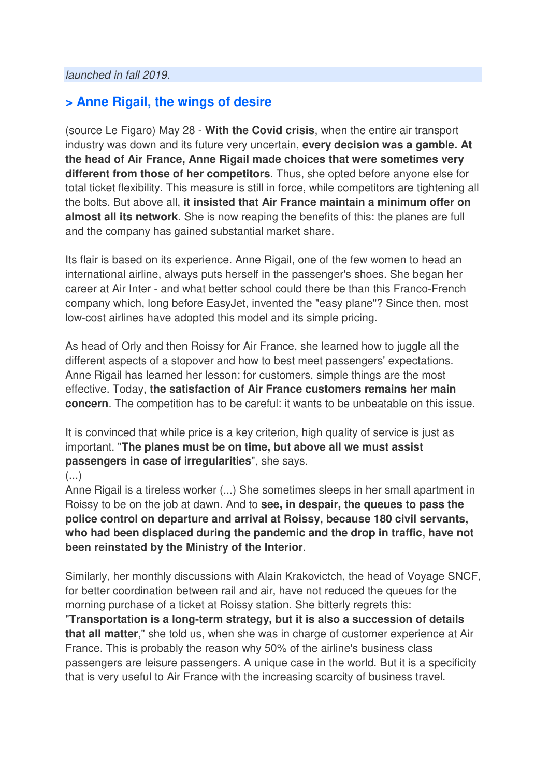### **> Anne Rigail, the wings of desire**

(source Le Figaro) May 28 - **With the Covid crisis**, when the entire air transport industry was down and its future very uncertain, **every decision was a gamble. At the head of Air France, Anne Rigail made choices that were sometimes very different from those of her competitors**. Thus, she opted before anyone else for total ticket flexibility. This measure is still in force, while competitors are tightening all the bolts. But above all, **it insisted that Air France maintain a minimum offer on almost all its network**. She is now reaping the benefits of this: the planes are full and the company has gained substantial market share.

Its flair is based on its experience. Anne Rigail, one of the few women to head an international airline, always puts herself in the passenger's shoes. She began her career at Air Inter - and what better school could there be than this Franco-French company which, long before EasyJet, invented the "easy plane"? Since then, most low-cost airlines have adopted this model and its simple pricing.

As head of Orly and then Roissy for Air France, she learned how to juggle all the different aspects of a stopover and how to best meet passengers' expectations. Anne Rigail has learned her lesson: for customers, simple things are the most effective. Today, **the satisfaction of Air France customers remains her main concern**. The competition has to be careful: it wants to be unbeatable on this issue.

It is convinced that while price is a key criterion, high quality of service is just as important. "**The planes must be on time, but above all we must assist passengers in case of irregularities**", she says.

#### (...)

Anne Rigail is a tireless worker (...) She sometimes sleeps in her small apartment in Roissy to be on the job at dawn. And to **see, in despair, the queues to pass the police control on departure and arrival at Roissy, because 180 civil servants, who had been displaced during the pandemic and the drop in traffic, have not been reinstated by the Ministry of the Interior**.

Similarly, her monthly discussions with Alain Krakovictch, the head of Voyage SNCF, for better coordination between rail and air, have not reduced the queues for the morning purchase of a ticket at Roissy station. She bitterly regrets this:

"**Transportation is a long-term strategy, but it is also a succession of details that all matter**," she told us, when she was in charge of customer experience at Air France. This is probably the reason why 50% of the airline's business class passengers are leisure passengers. A unique case in the world. But it is a specificity that is very useful to Air France with the increasing scarcity of business travel.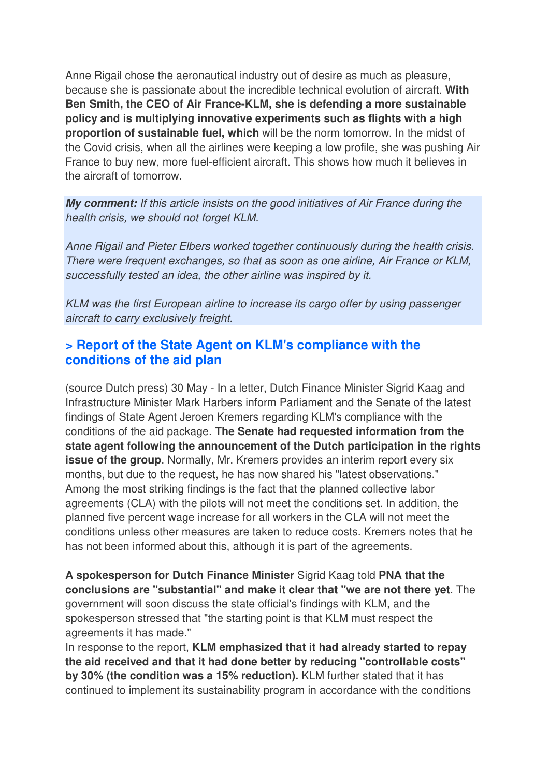Anne Rigail chose the aeronautical industry out of desire as much as pleasure, because she is passionate about the incredible technical evolution of aircraft. **With Ben Smith, the CEO of Air France-KLM, she is defending a more sustainable policy and is multiplying innovative experiments such as flights with a high proportion of sustainable fuel, which** will be the norm tomorrow. In the midst of the Covid crisis, when all the airlines were keeping a low profile, she was pushing Air France to buy new, more fuel-efficient aircraft. This shows how much it believes in the aircraft of tomorrow.

**My comment:** If this article insists on the good initiatives of Air France during the health crisis, we should not forget KLM.

Anne Rigail and Pieter Elbers worked together continuously during the health crisis. There were frequent exchanges, so that as soon as one airline, Air France or KLM, successfully tested an idea, the other airline was inspired by it.

KLM was the first European airline to increase its cargo offer by using passenger aircraft to carry exclusively freight.

### **> Report of the State Agent on KLM's compliance with the conditions of the aid plan**

(source Dutch press) 30 May - In a letter, Dutch Finance Minister Sigrid Kaag and Infrastructure Minister Mark Harbers inform Parliament and the Senate of the latest findings of State Agent Jeroen Kremers regarding KLM's compliance with the conditions of the aid package. **The Senate had requested information from the state agent following the announcement of the Dutch participation in the rights issue of the group**. Normally, Mr. Kremers provides an interim report every six months, but due to the request, he has now shared his "latest observations." Among the most striking findings is the fact that the planned collective labor agreements (CLA) with the pilots will not meet the conditions set. In addition, the planned five percent wage increase for all workers in the CLA will not meet the conditions unless other measures are taken to reduce costs. Kremers notes that he has not been informed about this, although it is part of the agreements.

**A spokesperson for Dutch Finance Minister** Sigrid Kaag told **PNA that the conclusions are "substantial" and make it clear that "we are not there yet**. The government will soon discuss the state official's findings with KLM, and the spokesperson stressed that "the starting point is that KLM must respect the agreements it has made."

In response to the report, **KLM emphasized that it had already started to repay the aid received and that it had done better by reducing "controllable costs" by 30% (the condition was a 15% reduction).** KLM further stated that it has continued to implement its sustainability program in accordance with the conditions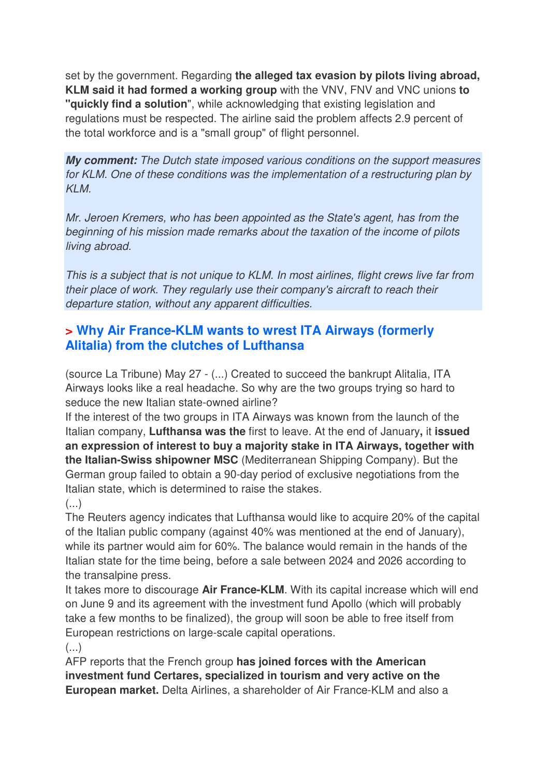set by the government. Regarding **the alleged tax evasion by pilots living abroad, KLM said it had formed a working group** with the VNV, FNV and VNC unions **to "quickly find a solution**", while acknowledging that existing legislation and regulations must be respected. The airline said the problem affects 2.9 percent of the total workforce and is a "small group" of flight personnel.

**My comment:** The Dutch state imposed various conditions on the support measures for KLM. One of these conditions was the implementation of a restructuring plan by KI<sub>M</sub>

Mr. Jeroen Kremers, who has been appointed as the State's agent, has from the beginning of his mission made remarks about the taxation of the income of pilots living abroad.

This is a subject that is not unique to KLM. In most airlines, flight crews live far from their place of work. They regularly use their company's aircraft to reach their departure station, without any apparent difficulties.

### **> Why Air France-KLM wants to wrest ITA Airways (formerly Alitalia) from the clutches of Lufthansa**

(source La Tribune) May 27 - (...) Created to succeed the bankrupt Alitalia, ITA Airways looks like a real headache. So why are the two groups trying so hard to seduce the new Italian state-owned airline?

If the interest of the two groups in ITA Airways was known from the launch of the Italian company, **Lufthansa was the** first to leave. At the end of January**,** it **issued an expression of interest to buy a majority stake in ITA Airways, together with the Italian-Swiss shipowner MSC** (Mediterranean Shipping Company). But the German group failed to obtain a 90-day period of exclusive negotiations from the Italian state, which is determined to raise the stakes.

(...)

The Reuters agency indicates that Lufthansa would like to acquire 20% of the capital of the Italian public company (against 40% was mentioned at the end of January), while its partner would aim for 60%. The balance would remain in the hands of the Italian state for the time being, before a sale between 2024 and 2026 according to the transalpine press.

It takes more to discourage **Air France-KLM**. With its capital increase which will end on June 9 and its agreement with the investment fund Apollo (which will probably take a few months to be finalized), the group will soon be able to free itself from European restrictions on large-scale capital operations.

(...)

AFP reports that the French group **has joined forces with the American investment fund Certares, specialized in tourism and very active on the European market.** Delta Airlines, a shareholder of Air France-KLM and also a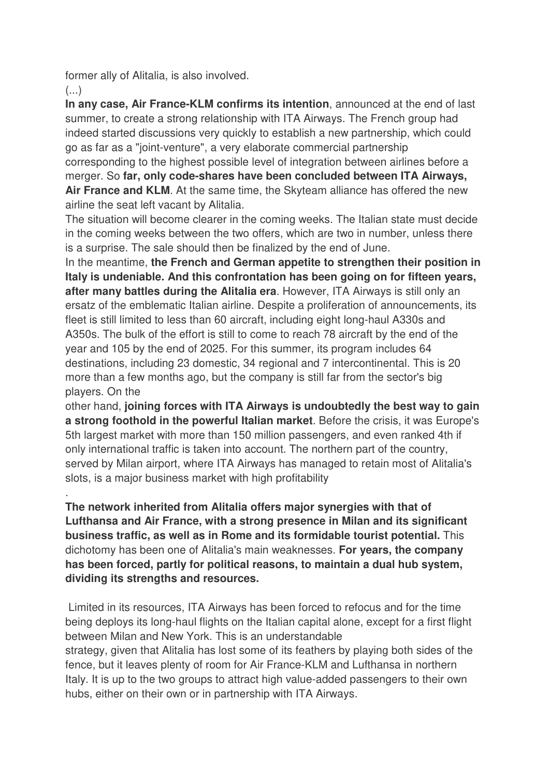former ally of Alitalia, is also involved.

 $\left( \ldots \right)$ 

**In any case, Air France-KLM confirms its intention**, announced at the end of last summer, to create a strong relationship with ITA Airways. The French group had indeed started discussions very quickly to establish a new partnership, which could go as far as a "joint-venture", a very elaborate commercial partnership corresponding to the highest possible level of integration between airlines before a merger. So **far, only code-shares have been concluded between ITA Airways, Air France and KLM**. At the same time, the Skyteam alliance has offered the new airline the seat left vacant by Alitalia.

The situation will become clearer in the coming weeks. The Italian state must decide in the coming weeks between the two offers, which are two in number, unless there is a surprise. The sale should then be finalized by the end of June.

In the meantime, **the French and German appetite to strengthen their position in Italy is undeniable. And this confrontation has been going on for fifteen years, after many battles during the Alitalia era**. However, ITA Airways is still only an ersatz of the emblematic Italian airline. Despite a proliferation of announcements, its fleet is still limited to less than 60 aircraft, including eight long-haul A330s and A350s. The bulk of the effort is still to come to reach 78 aircraft by the end of the year and 105 by the end of 2025. For this summer, its program includes 64 destinations, including 23 domestic, 34 regional and 7 intercontinental. This is 20 more than a few months ago, but the company is still far from the sector's big players. On the

other hand, **joining forces with ITA Airways is undoubtedly the best way to gain a strong foothold in the powerful Italian market**. Before the crisis, it was Europe's 5th largest market with more than 150 million passengers, and even ranked 4th if only international traffic is taken into account. The northern part of the country, served by Milan airport, where ITA Airways has managed to retain most of Alitalia's slots, is a major business market with high profitability

. **The network inherited from Alitalia offers major synergies with that of Lufthansa and Air France, with a strong presence in Milan and its significant business traffic, as well as in Rome and its formidable tourist potential.** This dichotomy has been one of Alitalia's main weaknesses. **For years, the company has been forced, partly for political reasons, to maintain a dual hub system, dividing its strengths and resources.** 

 Limited in its resources, ITA Airways has been forced to refocus and for the time being deploys its long-haul flights on the Italian capital alone, except for a first flight between Milan and New York. This is an understandable strategy, given that Alitalia has lost some of its feathers by playing both sides of the fence, but it leaves plenty of room for Air France-KLM and Lufthansa in northern Italy. It is up to the two groups to attract high value-added passengers to their own hubs, either on their own or in partnership with ITA Airways.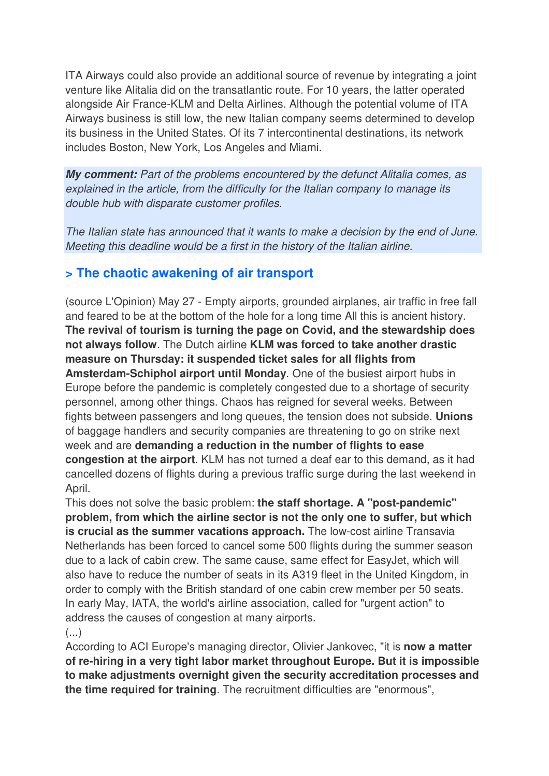ITA Airways could also provide an additional source of revenue by integrating a joint venture like Alitalia did on the transatlantic route. For 10 years, the latter operated alongside Air France-KLM and Delta Airlines. Although the potential volume of ITA Airways business is still low, the new Italian company seems determined to develop its business in the United States. Of its 7 intercontinental destinations, its network includes Boston, New York, Los Angeles and Miami.

**My comment:** Part of the problems encountered by the defunct Alitalia comes, as explained in the article, from the difficulty for the Italian company to manage its double hub with disparate customer profiles.

The Italian state has announced that it wants to make a decision by the end of June. Meeting this deadline would be a first in the history of the Italian airline.

### **> The chaotic awakening of air transport**

(source L'Opinion) May 27 - Empty airports, grounded airplanes, air traffic in free fall and feared to be at the bottom of the hole for a long time All this is ancient history. **The revival of tourism is turning the page on Covid, and the stewardship does not always follow**. The Dutch airline **KLM was forced to take another drastic measure on Thursday: it suspended ticket sales for all flights from Amsterdam-Schiphol airport until Monday**. One of the busiest airport hubs in Europe before the pandemic is completely congested due to a shortage of security personnel, among other things. Chaos has reigned for several weeks. Between fights between passengers and long queues, the tension does not subside. **Unions**  of baggage handlers and security companies are threatening to go on strike next week and are **demanding a reduction in the number of flights to ease congestion at the airport**. KLM has not turned a deaf ear to this demand, as it had cancelled dozens of flights during a previous traffic surge during the last weekend in April.

This does not solve the basic problem: **the staff shortage. A "post-pandemic" problem, from which the airline sector is not the only one to suffer, but which is crucial as the summer vacations approach.** The low-cost airline Transavia Netherlands has been forced to cancel some 500 flights during the summer season due to a lack of cabin crew. The same cause, same effect for EasyJet, which will also have to reduce the number of seats in its A319 fleet in the United Kingdom, in order to comply with the British standard of one cabin crew member per 50 seats. In early May, IATA, the world's airline association, called for "urgent action" to address the causes of congestion at many airports.

#### $\left( \ldots \right)$

According to ACI Europe's managing director, Olivier Jankovec, "it is **now a matter of re-hiring in a very tight labor market throughout Europe. But it is impossible to make adjustments overnight given the security accreditation processes and the time required for training**. The recruitment difficulties are "enormous",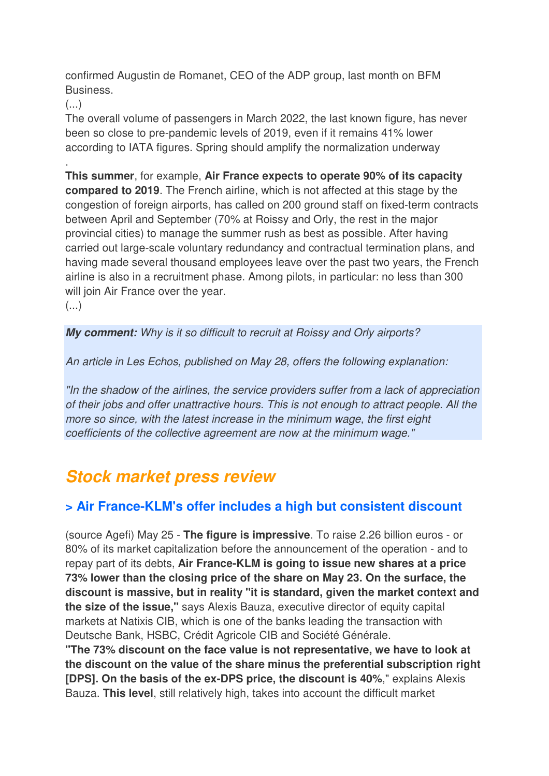confirmed Augustin de Romanet, CEO of the ADP group, last month on BFM Business.

(...)

.

The overall volume of passengers in March 2022, the last known figure, has never been so close to pre-pandemic levels of 2019, even if it remains 41% lower according to IATA figures. Spring should amplify the normalization underway

**This summer**, for example, **Air France expects to operate 90% of its capacity compared to 2019**. The French airline, which is not affected at this stage by the congestion of foreign airports, has called on 200 ground staff on fixed-term contracts between April and September (70% at Roissy and Orly, the rest in the major provincial cities) to manage the summer rush as best as possible. After having carried out large-scale voluntary redundancy and contractual termination plans, and having made several thousand employees leave over the past two years, the French airline is also in a recruitment phase. Among pilots, in particular: no less than 300 will join Air France over the year.  $\left(\ldots\right)$ 

**My comment:** Why is it so difficult to recruit at Roissy and Orly airports?

An article in Les Echos, published on May 28, offers the following explanation:

"In the shadow of the airlines, the service providers suffer from a lack of appreciation of their jobs and offer unattractive hours. This is not enough to attract people. All the more so since, with the latest increase in the minimum wage, the first eight coefficients of the collective agreement are now at the minimum wage."

## **Stock market press review**

### **> Air France-KLM's offer includes a high but consistent discount**

(source Agefi) May 25 - **The figure is impressive**. To raise 2.26 billion euros - or 80% of its market capitalization before the announcement of the operation - and to repay part of its debts, **Air France-KLM is going to issue new shares at a price 73% lower than the closing price of the share on May 23. On the surface, the discount is massive, but in reality "it is standard, given the market context and the size of the issue,"** says Alexis Bauza, executive director of equity capital markets at Natixis CIB, which is one of the banks leading the transaction with Deutsche Bank, HSBC, Crédit Agricole CIB and Société Générale.

**"The 73% discount on the face value is not representative, we have to look at the discount on the value of the share minus the preferential subscription right [DPS]. On the basis of the ex-DPS price, the discount is 40%**," explains Alexis Bauza. **This level**, still relatively high, takes into account the difficult market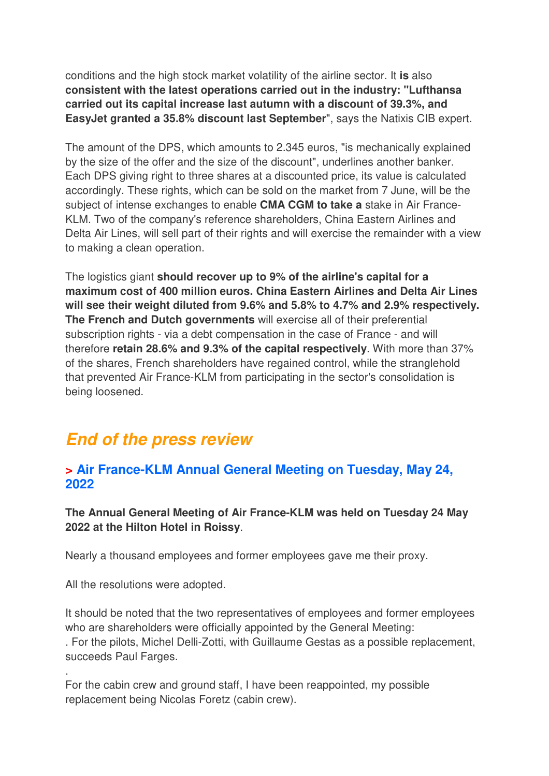conditions and the high stock market volatility of the airline sector. It **is** also **consistent with the latest operations carried out in the industry: "Lufthansa carried out its capital increase last autumn with a discount of 39.3%, and EasyJet granted a 35.8% discount last September**", says the Natixis CIB expert.

The amount of the DPS, which amounts to 2.345 euros, "is mechanically explained by the size of the offer and the size of the discount", underlines another banker. Each DPS giving right to three shares at a discounted price, its value is calculated accordingly. These rights, which can be sold on the market from 7 June, will be the subject of intense exchanges to enable **CMA CGM to take a** stake in Air France-KLM. Two of the company's reference shareholders, China Eastern Airlines and Delta Air Lines, will sell part of their rights and will exercise the remainder with a view to making a clean operation.

The logistics giant **should recover up to 9% of the airline's capital for a maximum cost of 400 million euros. China Eastern Airlines and Delta Air Lines will see their weight diluted from 9.6% and 5.8% to 4.7% and 2.9% respectively. The French and Dutch governments** will exercise all of their preferential subscription rights - via a debt compensation in the case of France - and will therefore **retain 28.6% and 9.3% of the capital respectively**. With more than 37% of the shares, French shareholders have regained control, while the stranglehold that prevented Air France-KLM from participating in the sector's consolidation is being loosened.

## **End of the press review**

### **> Air France-KLM Annual General Meeting on Tuesday, May 24, 2022**

**The Annual General Meeting of Air France-KLM was held on Tuesday 24 May 2022 at the Hilton Hotel in Roissy**.

Nearly a thousand employees and former employees gave me their proxy.

All the resolutions were adopted.

.

It should be noted that the two representatives of employees and former employees who are shareholders were officially appointed by the General Meeting: . For the pilots, Michel Delli-Zotti, with Guillaume Gestas as a possible replacement, succeeds Paul Farges.

For the cabin crew and ground staff, I have been reappointed, my possible replacement being Nicolas Foretz (cabin crew).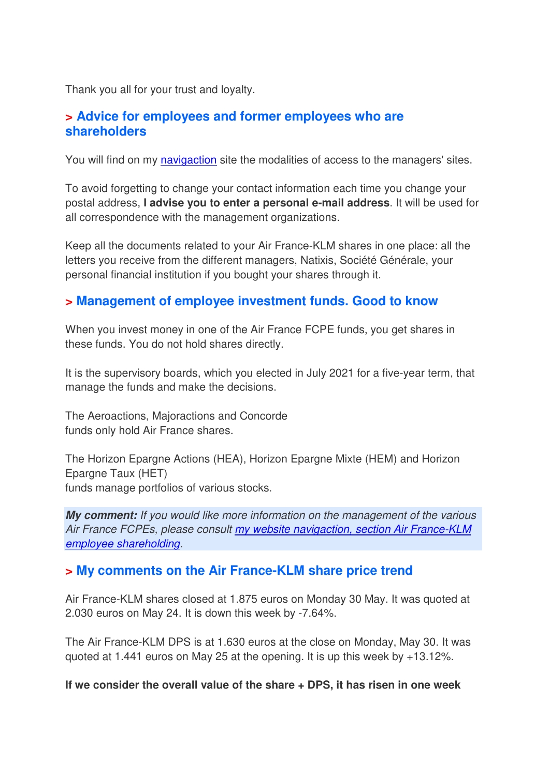Thank you all for your trust and loyalty.

### **> Advice for employees and former employees who are shareholders**

You will find on my navigaction site the modalities of access to the managers' sites.

To avoid forgetting to change your contact information each time you change your postal address, **I advise you to enter a personal e-mail address**. It will be used for all correspondence with the management organizations.

Keep all the documents related to your Air France-KLM shares in one place: all the letters you receive from the different managers, Natixis, Société Générale, your personal financial institution if you bought your shares through it.

### **> Management of employee investment funds. Good to know**

When you invest money in one of the Air France FCPE funds, you get shares in these funds. You do not hold shares directly.

It is the supervisory boards, which you elected in July 2021 for a five-year term, that manage the funds and make the decisions.

The Aeroactions, Majoractions and Concorde funds only hold Air France shares.

The Horizon Epargne Actions (HEA), Horizon Epargne Mixte (HEM) and Horizon Epargne Taux (HET) funds manage portfolios of various stocks.

**My comment:** If you would like more information on the management of the various Air France FCPEs, please consult my website navigaction, section Air France-KLM employee shareholding.

### **> My comments on the Air France-KLM share price trend**

Air France-KLM shares closed at 1.875 euros on Monday 30 May. It was quoted at 2.030 euros on May 24. It is down this week by -7.64%.

The Air France-KLM DPS is at 1.630 euros at the close on Monday, May 30. It was quoted at 1.441 euros on May 25 at the opening. It is up this week by +13.12%.

#### **If we consider the overall value of the share + DPS, it has risen in one week**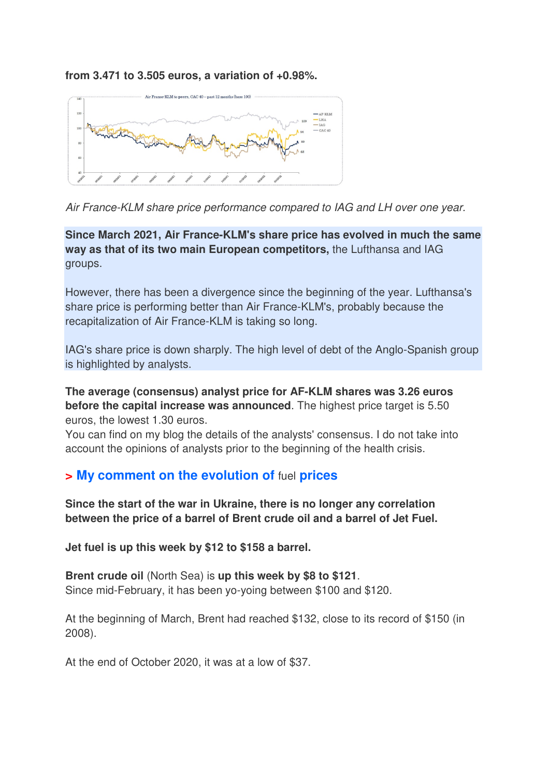**from 3.471 to 3.505 euros, a variation of +0.98%.**



Air France-KLM share price performance compared to IAG and LH over one year.

**Since March 2021, Air France-KLM's share price has evolved in much the same way as that of its two main European competitors,** the Lufthansa and IAG groups.

However, there has been a divergence since the beginning of the year. Lufthansa's share price is performing better than Air France-KLM's, probably because the recapitalization of Air France-KLM is taking so long.

IAG's share price is down sharply. The high level of debt of the Anglo-Spanish group is highlighted by analysts.

**The average (consensus) analyst price for AF-KLM shares was 3.26 euros before the capital increase was announced**. The highest price target is 5.50 euros, the lowest 1.30 euros.

You can find on my blog the details of the analysts' consensus. I do not take into account the opinions of analysts prior to the beginning of the health crisis.

### **> My comment on the evolution of** fuel **prices**

**Since the start of the war in Ukraine, there is no longer any correlation between the price of a barrel of Brent crude oil and a barrel of Jet Fuel.** 

**Jet fuel is up this week by \$12 to \$158 a barrel.** 

**Brent crude oil** (North Sea) is **up this week by \$8 to \$121**. Since mid-February, it has been yo-yoing between \$100 and \$120.

At the beginning of March, Brent had reached \$132, close to its record of \$150 (in 2008).

At the end of October 2020, it was at a low of \$37.